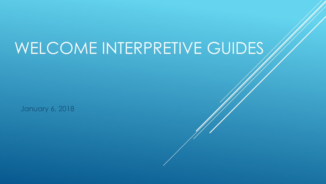# WELCOME INTERPRETIVE GUIDES

January 6, 2018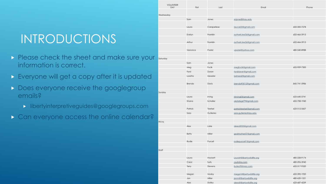# INTRODUCTIONS

- Please check the sheet and make sure your information is correct.
- **Everyone will get a copy after it is updated**
- Does everyone receive the googlegroup emails?
	- **Industry libertyinterpretiveguides@googlegroups.com**
- **Can everyone access the online calendar?**

| <b>VOLUNTEER</b><br>DAY | First        | Last        | Email                      | Phone        |
|-------------------------|--------------|-------------|----------------------------|--------------|
|                         |              |             |                            |              |
| Wednesday               | Sam          |             |                            |              |
|                         |              | Jones       | snjones8@asu.edu           |              |
|                         | Laura        | Carapellese | laucar23@gmail.com         | 602-300-7278 |
|                         |              |             |                            |              |
|                         | Evelyn       | Franklin    | autherk.lee56@gmail.com    | 602-466-5915 |
|                         |              |             |                            |              |
|                         | Arthur       | Franklin    | autherk.lee56@gmail.com    | 602-466-5915 |
|                         | Veronica     | Postel      | vpostel@yahoo.com          | 480-540-8988 |
|                         |              |             |                            |              |
| Saturday                |              |             |                            |              |
|                         | Sam          | Jones       |                            |              |
|                         | Meg          | Fucik       | megfucik@gmail.com         | 602-909-7300 |
|                         | Ford         | Doran       | forddoran@gmail.com        |              |
|                         | Loretta      | Meador      | lorimea2@gmail.com         |              |
|                         |              |             |                            |              |
|                         | Brenda       | Davis       | brenda93012@gmail.com      | 845-741-5986 |
|                         |              |             |                            |              |
| Sunday                  |              |             |                            |              |
|                         | Laura        | Irving      | Inirving0@gmail.com        | 623-640-3741 |
|                         | Shana        | Schaller    | okstategrI79@gmail.com     | 602-708-1940 |
|                         | Patrick      | Teetsel     | patrickteetsel@gmail.com   | 623-512-5607 |
|                         | Sara         | Gutierres   | sara.gutierres@asu.edu     |              |
|                         |              |             |                            |              |
| Fill Ins                |              |             |                            |              |
|                         | Alex         | Lake        | lakea5055@gmail.com        |              |
|                         |              |             |                            |              |
|                         | <b>Betty</b> | Miller      | godmother57@gmail.com      |              |
|                         |              |             |                            |              |
|                         | Rodie        | Purcell     | rodiepurcell1@gmail.com    |              |
| Staff                   |              |             |                            |              |
|                         |              |             |                            |              |
|                         | Laura        | Hackett     | LauraH@libertywildlife.org | 480-228-9174 |
|                         | Carol        | Suits       | csuits@q.com               | 480-296-3940 |
|                         | Terry        | Stevens     | buteo9@mac.com             | 602-317-9320 |
|                         |              |             |                            |              |
|                         | Megan        | Mosby       | megan@libertywildlife.org  | 602-390-1920 |
|                         | Jan          | Miller      | janm@libertywildlife.org   | 480-620-1551 |
|                         | Alex         | Stofko      | alexs@libertywildlife.org  | 623-687-4239 |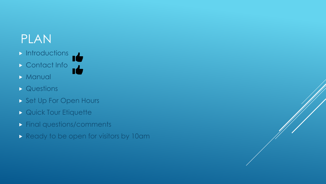# PLAN

- $\blacktriangleright$  Introductions
- Contact Info
- **Manual**
- **Destions**
- Set Up For Open Hours
- **Quick Tour Etiquette**
- **Final questions/comments**
- Ready to be open for visitors by 10am

 $\mathbf{d}$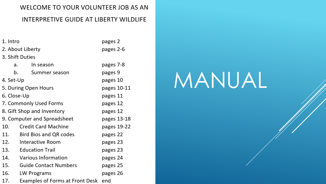#### WELCOME TO YOUR VOLUNTEER JOB AS AN

### INTERPRETIVE GUIDE AT LIBERTY WILDLIFE

| 1. Intro                    | pages 2                       |             |
|-----------------------------|-------------------------------|-------------|
| 2. About Liberty            | pages 2-6                     |             |
|                             | 3. Shift Duties               |             |
| a.                          | In season                     | pages 7-8   |
| b.                          | Summer season                 | pages 9     |
| 4. Set-Up                   | pages 10                      |             |
| 5. During Open Hours        | pages 10-11                   |             |
| 6. Close-Up                 | pages 11                      |             |
| 7. Commonly Used Forms      | pages 12                      |             |
| 8. Gift Shop and Inventory  | pages 12                      |             |
| 9. Computer and Spreadsheet | pages 13-18                   |             |
| 10.                         | <b>Credit Card Machine</b>    | pages 19-22 |
| 11.                         | <b>Bird Bios and QR codes</b> | pages 22    |
| 12.                         | Interactive Room              | pages 23    |
| 13.                         | <b>Education Trail</b>        | pages 23    |
| 14.                         | Various Information           | pages 24    |
| 15.                         | <b>Guide Contact Numbers</b>  | pages 25    |
| 16.                         | LW Programs                   | pages 26    |
| 17.                         | end                           |             |

# MANUAL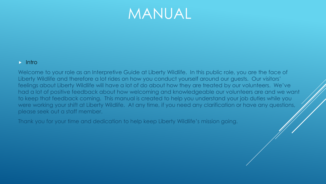#### $\triangleright$  Intro

Welcome to your role as an Interpretive Guide at Liberty Wildlife. In this public role, you are the face of Liberty Wildlife and therefore a lot rides on how you conduct yourself around our guests. Our visitors' feelings about Liberty Wildlife will have a lot of do about how they are treated by our volunteers. We've had a lot of positive feedback about how welcoming and knowledgeable our volunteers are and we want to keep that feedback coming. This manual is created to help you understand your job duties while you were working your shift at Liberty Wildlife. At any time, if you need any clarification or have any questions, please seek out a staff member.

Thank you for your time and dedication to help keep Liberty Wildlife's mission going.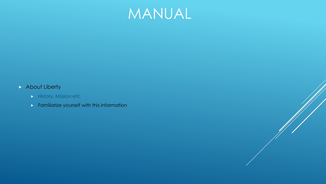

### **About Liberty**

- History, Mission etc
- $\triangleright$  Familiarize yourself with this information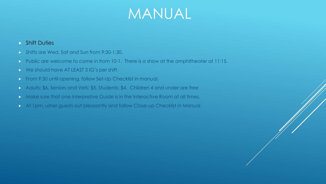#### ▶ Shift Duties

- **Shifts are Wed, Sat and Sun from 9:30-1:30.**
- Public are welcome to come in from 10-1. There is a show at the amphitheater at 11:15.
- ▶ We should have AT LEAST 3 IG's per shift.
- From 9:30 until opening, follow Set-Up Checklist in manual.
- Adults: \$6, Seniors and Vets: \$5, Students: \$4. Children 4 and under are free
- Make sure that one Interpretive Guide is in the Interactive Room at all times.
- At 1pm, usher guests out pleasantly and follow Close-up Checklist in Manual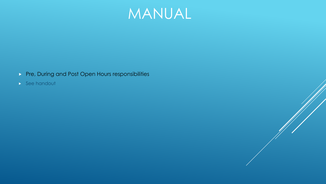

- Pre, During and Post Open Hours responsibilities
- $\blacktriangleright$  See handout

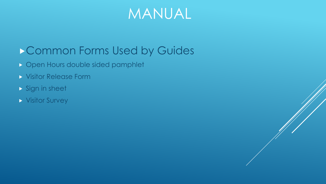# Common Forms Used by Guides

- **Den Hours double sided pamphlet**
- Visitor Release Form
- Sign in sheet
- Visitor Survey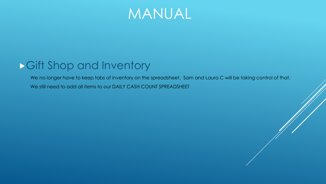

# Gift Shop and Inventory

We no longer have to keep tabs of inventory on the spreadsheet. Sam and Laura C will be taking control of that. We still need to add all items to our DAILY CASH COUNT SPREADSHEET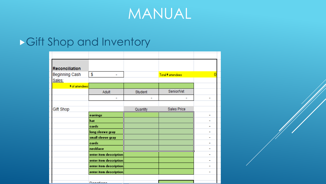

# Gift Shop and Inventory

| Reconciliation        |                        |          |                   |  |
|-----------------------|------------------------|----------|-------------------|--|
| <b>Beginning Cash</b> | \$<br>٠                |          | Total # attendees |  |
| Sales:                |                        |          |                   |  |
| # of attendees        |                        |          |                   |  |
|                       | Adult                  | Student  | Senior/Vet        |  |
|                       | ۰                      |          |                   |  |
|                       |                        |          |                   |  |
| Gift Shop             |                        | Quantity | Sales Price       |  |
|                       | earrings               |          |                   |  |
|                       | hat                    |          |                   |  |
|                       | cards                  |          |                   |  |
|                       | long sleeve gray       |          |                   |  |
|                       | small sleeve gray      |          |                   |  |
|                       | cards                  |          |                   |  |
|                       | necklace               |          |                   |  |
|                       | enter item description |          |                   |  |
|                       | enter item description |          |                   |  |
|                       | enter item description |          |                   |  |
|                       | enter item description |          |                   |  |
|                       |                        |          |                   |  |
|                       | Donational             |          |                   |  |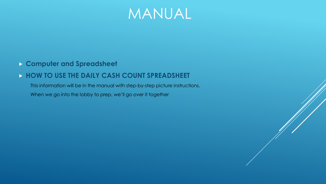

### **Computer and Spreadsheet**

### **HOW TO USE THE DAILY CASH COUNT SPREADSHEET**

This information will be in the manual with step-by-step picture instructions. When we go into the lobby to prep, we'll go over it together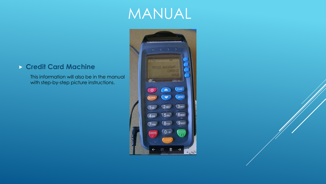### **Credit Card Machine**

This information will also be in the manual with step-by-step picture instructions.

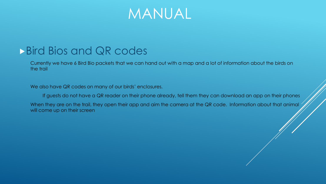# **Bird Bios and QR codes**

Currently we have 6 Bird Bio packets that we can hand out with a map and a lot of information about the birds on the trail

We also have QR codes on many of our birds' enclosures.

If guests do not have a QR reader on their phone already, tell them they can download an app on their phones

When they are on the trail, they open their app and aim the camera at the QR code. Information about that animal will come up on their screen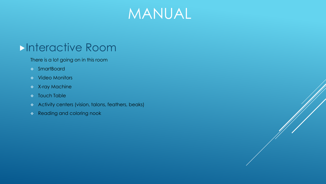

# **Interactive Room**

There is a lot going on in this room

- SmartBoard
- Video Monitors
- X-ray Machine
- **\*** Touch Table
- Activity centers (vision, talons, feathers, beaks)
- \* Reading and coloring nook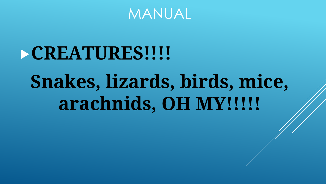

# **CREATURES!!!! Snakes, lizards, birds, mice, arachnids, OH MY!!!!!**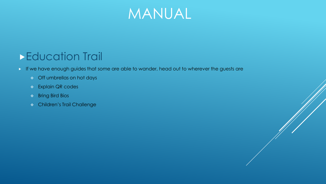

# **Education Trail**

If we have enough guides that some are able to wander, head out to wherever the guests are

- Off umbrellas on hot days
- **Explain QR codes**
- Bring Bird Bios
- Children's Trail Challenge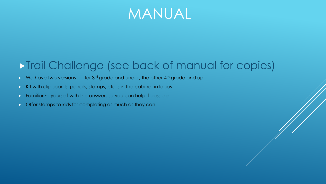

# **Trail Challenge (see back of manual for copies)**

- $\triangleright$  We have two versions 1 for 3<sup>rd</sup> grade and under, the other 4<sup>th</sup> grade and up
- $\triangleright$  Kit with clipboards, pencils, stamps, etc is in the cabinet in lobby
- **Familiarize yourself with the answers so you can help if possible**
- $\triangleright$  Offer stamps to kids for completing as much as they can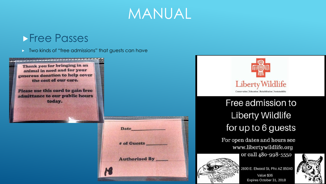

### **Free Passes**

**Two kinds of "free admissions" that guests can have** 







# Free admission to **Liberty Wildlife** for up to 6 guests

For open dates and hours see www.libertywildlife.org or call 480-998-5550



2600 E. Elwood St, Phx AZ 85040 Value \$36 Expires October 31, 2018

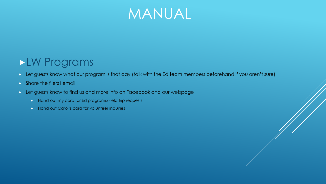

# LW Programs

- Let guests know what our program is that day (talk with the Ed team members beforehand if you aren't sure)
- Share the fliers I email
- Let guests know to find us and more info on Facebook and our webpage
	- $\triangleright$  Hand out my card for Ed programs/Field trip requests
	- **Hand out Carol's card for volunteer inquiries**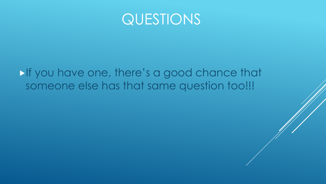

# If you have one, there's a good chance that someone else has that same question too!!!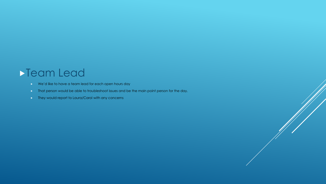### Team Lead

- We'd like to have a team lead for each open hours day
- **That person would be able to troubleshoot issues and be the main point person for the day.**
- **They would report to Laura/Carol with any concerns**